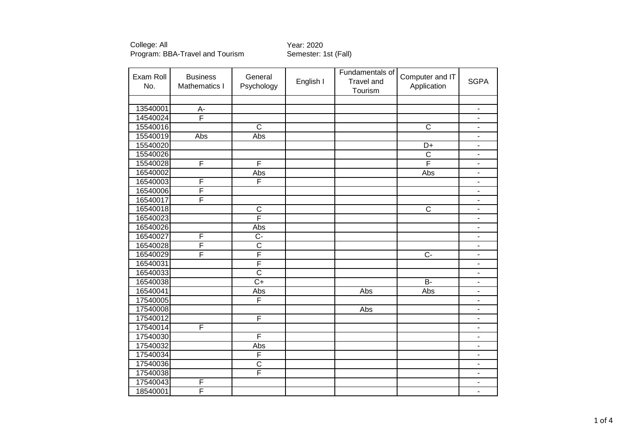College: All<br>Program: BBA-Travel and Tourism Semester: 1st (Fall) Program: BBA-Travel and Tourism

| Exam Roll<br>No. | <b>Business</b><br>Mathematics I | General<br>Psychology | English I | Fundamentals of<br><b>Travel and</b><br>Tourism | Computer and IT<br>Application | <b>SGPA</b>                  |
|------------------|----------------------------------|-----------------------|-----------|-------------------------------------------------|--------------------------------|------------------------------|
|                  |                                  |                       |           |                                                 |                                |                              |
| 13540001         | $A -$                            |                       |           |                                                 |                                | $\overline{\phantom{a}}$     |
| 14540024         | $\overline{F}$                   |                       |           |                                                 |                                | $\overline{\phantom{a}}$     |
| 15540016         |                                  | $\overline{C}$        |           |                                                 | $\mathsf C$                    | $\overline{\phantom{a}}$     |
| 15540019         | Abs                              | Abs                   |           |                                                 |                                | $\blacksquare$               |
| 15540020         |                                  |                       |           |                                                 | D+                             | $\overline{\phantom{a}}$     |
| 15540026         |                                  |                       |           |                                                 | $\mathsf{C}$                   | $\overline{\phantom{m}}$     |
| 15540028         | F                                | F                     |           |                                                 | F                              | $\blacksquare$               |
| 16540002         |                                  | Abs                   |           |                                                 | Abs                            | $\blacksquare$               |
| 16540003         | $\mathsf F$                      | F                     |           |                                                 |                                | $\blacksquare$               |
| 16540006         | F                                |                       |           |                                                 |                                | $\overline{\phantom{a}}$     |
| 16540017         | $\overline{\mathsf{F}}$          |                       |           |                                                 |                                | $\overline{\phantom{a}}$     |
| 16540018         |                                  | $\mathsf C$           |           |                                                 | $\mathsf C$                    | $\blacksquare$               |
| 16540023         |                                  | F                     |           |                                                 |                                | $\blacksquare$               |
| 16540026         |                                  | Abs                   |           |                                                 |                                | $\overline{\phantom{m}}$     |
| 16540027         | $\mathsf F$                      | $C -$                 |           |                                                 |                                | $\blacksquare$               |
| 16540028         | F                                | $\overline{C}$        |           |                                                 |                                | $\overline{\phantom{m}}$     |
| 16540029         | F                                | F                     |           |                                                 | $\overline{C}$                 | $\overline{\phantom{a}}$     |
| 16540031         |                                  | F                     |           |                                                 |                                | $\overline{\phantom{0}}$     |
| 16540033         |                                  | $\overline{\text{c}}$ |           |                                                 |                                | $\overline{\phantom{a}}$     |
| 16540038         |                                  | $\overline{C+}$       |           |                                                 | $\overline{B}$                 | $\overline{\phantom{m}}$     |
| 16540041         |                                  | Abs                   |           | Abs                                             | Abs                            | $\blacksquare$               |
| 17540005         |                                  | F                     |           |                                                 |                                | $\overline{\phantom{a}}$     |
| 17540008         |                                  |                       |           | Abs                                             |                                | ۰                            |
| 17540012         |                                  | F                     |           |                                                 |                                | $\blacksquare$               |
| 17540014         | $\overline{F}$                   |                       |           |                                                 |                                | $\overline{\phantom{a}}$     |
| 17540030         |                                  | F                     |           |                                                 |                                | $\qquad \qquad \blacksquare$ |
| 17540032         |                                  | Abs                   |           |                                                 |                                | $\overline{\phantom{a}}$     |
| 17540034         |                                  | F                     |           |                                                 |                                | $\blacksquare$               |
| 17540036         |                                  | $\mathsf C$           |           |                                                 |                                | $\blacksquare$               |
| 17540038         |                                  | F                     |           |                                                 |                                | $\overline{\phantom{a}}$     |
| 17540043         | F                                |                       |           |                                                 |                                | $\overline{\phantom{m}}$     |
| 18540001         | F                                |                       |           |                                                 |                                | $\overline{\phantom{a}}$     |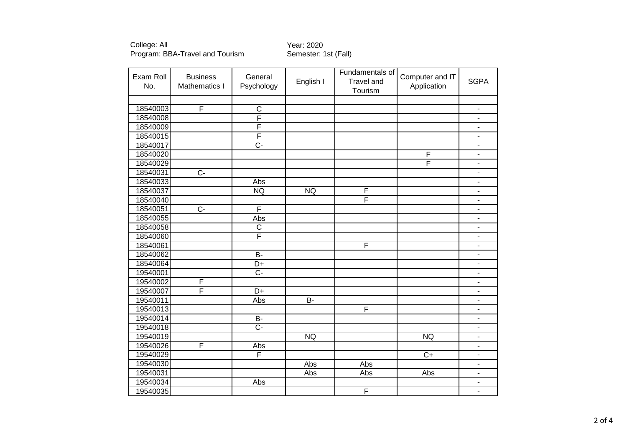College: All Year: 2020 Program: BBA-Travel and Tourism Semester: 1st (Fall)

| Exam Roll<br>No. | <b>Business</b><br>Mathematics I | General<br>Psychology   | English I      | Fundamentals of<br><b>Travel and</b><br>Tourism | Computer and IT<br>Application | <b>SGPA</b>              |
|------------------|----------------------------------|-------------------------|----------------|-------------------------------------------------|--------------------------------|--------------------------|
|                  |                                  |                         |                |                                                 |                                |                          |
| 18540003         | $\overline{\mathsf{F}}$          | $\overline{C}$          |                |                                                 |                                | $\blacksquare$           |
| 18540008         |                                  | F                       |                |                                                 |                                | $\blacksquare$           |
| 18540009         |                                  | $\overline{\mathsf{F}}$ |                |                                                 |                                | $\blacksquare$           |
| 18540015         |                                  | F                       |                |                                                 |                                | $\overline{\phantom{a}}$ |
| 18540017         |                                  | $\overline{C}$          |                |                                                 |                                | $\overline{\phantom{a}}$ |
| 18540020         |                                  |                         |                |                                                 | $\overline{F}$                 | $\blacksquare$           |
| 18540029         |                                  |                         |                |                                                 | F                              | $\blacksquare$           |
| 18540031         | $\overline{C}$                   |                         |                |                                                 |                                | $\blacksquare$           |
| 18540033         |                                  | Abs                     |                |                                                 |                                | ä,                       |
| 18540037         |                                  | <b>NQ</b>               | <b>NQ</b>      | F                                               |                                | $\blacksquare$           |
| 18540040         |                                  |                         |                | F                                               |                                | $\blacksquare$           |
| 18540051         | $C -$                            | $\overline{F}$          |                |                                                 |                                | $\overline{\phantom{a}}$ |
| 18540055         |                                  | Abs                     |                |                                                 |                                | $\blacksquare$           |
| 18540058         |                                  | $\overline{C}$          |                |                                                 |                                | $\blacksquare$           |
| 18540060         |                                  | F                       |                |                                                 |                                | $\overline{\phantom{a}}$ |
| 18540061         |                                  |                         |                | F                                               |                                | $\blacksquare$           |
| 18540062         |                                  | $\overline{B}$          |                |                                                 |                                | $\Box$                   |
| 18540064         |                                  | D+                      |                |                                                 |                                | $\blacksquare$           |
| 19540001         |                                  | $\overline{C}$          |                |                                                 |                                | $\overline{\phantom{0}}$ |
| 19540002         | $\overline{\mathsf{F}}$          |                         |                |                                                 |                                | $\blacksquare$           |
| 19540007         | F                                | $D+$                    |                |                                                 |                                | $\blacksquare$           |
| 19540011         |                                  | Abs                     | $\overline{B}$ |                                                 |                                | $\overline{\phantom{0}}$ |
| 19540013         |                                  |                         |                | F                                               |                                | ä,                       |
| 19540014         |                                  | $B -$                   |                |                                                 |                                | $\blacksquare$           |
| 19540018         |                                  | $\overline{C}$          |                |                                                 |                                | $\blacksquare$           |
| 19540019         |                                  |                         | <b>NQ</b>      |                                                 | <b>NQ</b>                      | $\overline{\phantom{a}}$ |
| 19540026         | $\mathsf F$                      | Abs                     |                |                                                 |                                | $\blacksquare$           |
| 19540029         |                                  | $\overline{\mathsf{F}}$ |                |                                                 | $\overline{C+}$                | $\blacksquare$           |
| 19540030         |                                  |                         | Abs            | Abs                                             |                                | $\blacksquare$           |
| 19540031         |                                  |                         | Abs            | Abs                                             | Abs                            | $\blacksquare$           |
| 19540034         |                                  | Abs                     |                |                                                 |                                | $\blacksquare$           |
| 19540035         |                                  |                         |                | F                                               |                                | $\overline{\phantom{a}}$ |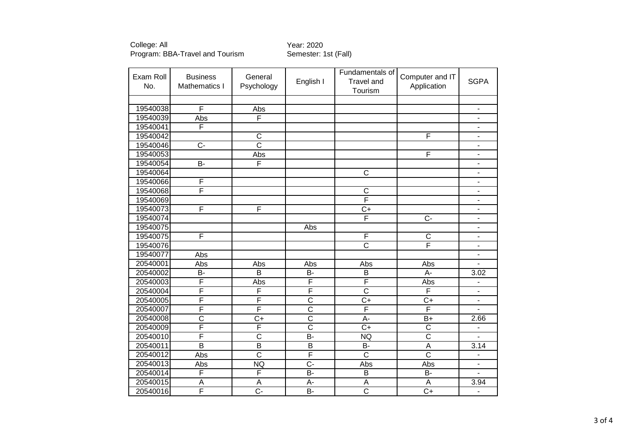College: All Year: 2020 Program: BBA-Travel and Tourism Semester: 1st (Fall)

| Exam Roll<br>No. | <b>Business</b><br>Mathematics I | General<br>Psychology   | English I               | Fundamentals of<br><b>Travel and</b><br>Tourism | Computer and IT<br>Application | <b>SGPA</b>                  |
|------------------|----------------------------------|-------------------------|-------------------------|-------------------------------------------------|--------------------------------|------------------------------|
|                  |                                  |                         |                         |                                                 |                                |                              |
| 19540038         | F                                | Abs                     |                         |                                                 |                                | $\blacksquare$               |
| 19540039         | Abs                              | F                       |                         |                                                 |                                | $\blacksquare$               |
| 19540041         | F                                |                         |                         |                                                 |                                | $\blacksquare$               |
| 19540042         |                                  | $\mathsf C$             |                         |                                                 | F                              | $\overline{\phantom{a}}$     |
| 19540046         | $\overline{C}$                   | $\overline{C}$          |                         |                                                 |                                | $\overline{\phantom{a}}$     |
| 19540053         |                                  | Abs                     |                         |                                                 | F                              | $\blacksquare$               |
| 19540054         | $B -$                            | F                       |                         |                                                 |                                | $\blacksquare$               |
| 19540064         |                                  |                         |                         | $\overline{\text{c}}$                           |                                | $\overline{\phantom{a}}$     |
| 19540066         | F                                |                         |                         |                                                 |                                | $\overline{\phantom{a}}$     |
| 19540068         | F                                |                         |                         | $\overline{\text{c}}$                           |                                | $\blacksquare$               |
| 19540069         |                                  |                         |                         | F                                               |                                | $\blacksquare$               |
| 19540073         | $\overline{F}$                   | $\overline{F}$          |                         | $C+$                                            |                                | $\overline{\phantom{a}}$     |
| 19540074         |                                  |                         |                         | F                                               | $C -$                          | $\blacksquare$               |
| 19540075         |                                  |                         | Abs                     |                                                 |                                | $\qquad \qquad \blacksquare$ |
| 19540075         | F                                |                         |                         | F                                               | $\mathsf{C}$                   | $\blacksquare$               |
| 19540076         |                                  |                         |                         | $\overline{\text{c}}$                           | F                              | $\blacksquare$               |
| 19540077         | Abs                              |                         |                         |                                                 |                                | $\blacksquare$               |
| 20540001         | Abs                              | Abs                     | Abs                     | Abs                                             | Abs                            | $\blacksquare$               |
| 20540002         | B-                               | $\overline{B}$          | <b>B-</b>               | $\overline{B}$                                  | $\overline{A}$                 | 3.02                         |
| 20540003         | F                                | Abs                     | $\overline{\mathsf{F}}$ | F                                               | Abs                            |                              |
| 20540004         | F                                | F                       | F                       | $\overline{\text{c}}$                           | F                              | $\overline{a}$               |
| 20540005         | F                                | $\overline{F}$          | $\overline{\text{c}}$   | $C+$                                            | $C+$                           | $\overline{a}$               |
| 20540007         | F                                | $\overline{\mathsf{F}}$ | $\overline{\text{c}}$   | F                                               | F                              |                              |
| 20540008         | $\overline{\text{c}}$            | $\overline{C+}$         | $\overline{\text{c}}$   | A-                                              | $B+$                           | 2.66                         |
| 20540009         | F                                | F                       | $\overline{\text{c}}$   | $\overline{C}$                                  | $\overline{C}$                 | $\qquad \qquad \blacksquare$ |
| 20540010         | F                                | $\overline{\text{c}}$   | $\overline{B}$          | <b>NQ</b>                                       | $\overline{\text{c}}$          | $\blacksquare$               |
| 20540011         | B                                | B                       | B                       | B-                                              | A                              | 3.14                         |
| 20540012         | Abs                              | $\overline{\text{c}}$   | F                       | $\overline{\text{c}}$                           | $\overline{\text{c}}$          | $\blacksquare$               |
| 20540013         | Abs                              | <b>NQ</b>               | $\overline{C}$          | Abs                                             | Abs                            | $\blacksquare$               |
| 20540014         | F                                | F                       | $B -$                   | $\sf B$                                         | <b>B-</b>                      | $\blacksquare$               |
| 20540015         | A                                | A                       | A-                      | A                                               | A                              | 3.94                         |
| 20540016         | F                                | $\overline{C}$ -        | $\overline{B}$          | $\overline{\text{c}}$                           | $C+$                           | $\overline{\phantom{a}}$     |